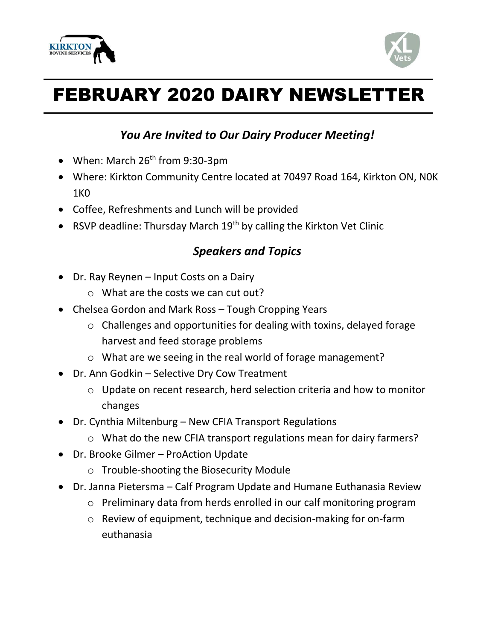



# FEBRUARY 2020 DAIRY NEWSLETTER

## *You Are Invited to Our Dairy Producer Meeting!*

- When: March  $26<sup>th</sup>$  from 9:30-3pm
- Where: Kirkton Community Centre located at 70497 Road 164, Kirkton ON, N0K 1K0
- Coffee, Refreshments and Lunch will be provided
- RSVP deadline: Thursday March  $19<sup>th</sup>$  by calling the Kirkton Vet Clinic

# *Speakers and Topics*

- Dr. Ray Reynen Input Costs on a Dairy
	- o What are the costs we can cut out?
- Chelsea Gordon and Mark Ross Tough Cropping Years
	- o Challenges and opportunities for dealing with toxins, delayed forage harvest and feed storage problems
	- o What are we seeing in the real world of forage management?
- Dr. Ann Godkin Selective Dry Cow Treatment
	- o Update on recent research, herd selection criteria and how to monitor changes
- Dr. Cynthia Miltenburg New CFIA Transport Regulations
	- o What do the new CFIA transport regulations mean for dairy farmers?
- Dr. Brooke Gilmer ProAction Update
	- o Trouble-shooting the Biosecurity Module
- Dr. Janna Pietersma Calf Program Update and Humane Euthanasia Review
	- o Preliminary data from herds enrolled in our calf monitoring program
	- o Review of equipment, technique and decision-making for on-farm euthanasia